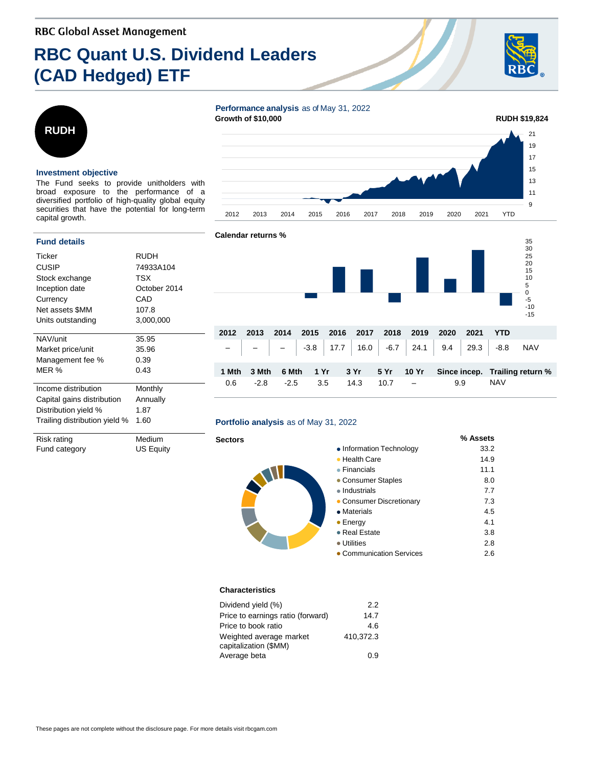# **RBC Quant U.S. Dividend Leaders (CAD Hedged) ETF**





#### **Investment objective**

The Fund seeks to provide unitholders with broad exposure to the performance of a diversified portfolio of high-quality global equity securities that have the potential for long-term capital growth.

| RUDH         |  |  |  |  |
|--------------|--|--|--|--|
| 74933A104    |  |  |  |  |
| TSX          |  |  |  |  |
| October 2014 |  |  |  |  |
| CAD          |  |  |  |  |
| 107.8        |  |  |  |  |
| 3,000,000    |  |  |  |  |
|              |  |  |  |  |
| 35.95        |  |  |  |  |
| 35.96        |  |  |  |  |
| 0.39         |  |  |  |  |
| 0.43         |  |  |  |  |
| Monthly      |  |  |  |  |
| Annually     |  |  |  |  |
| 1.87         |  |  |  |  |
| 1.60         |  |  |  |  |
|              |  |  |  |  |

Risk rating Medium Fund category **US Equity** 

## **Performance analysis** as of May 31, 2022





#### **Portfolio analysis** as of May 31, 2022

#### **Sectors % Assets** • Information Technology 33.2 ● Health Care 14.9 ● Financials 11.1 • Consumer Staples 8.0 ● Industrials 7.7 • Consumer Discretionary 7.3 ● Materials 4.5  $\bullet$  Energy  $4.1$ ● Real Estate 3.8 ● Utilities 2.8 ● Communication Services 2.6

#### **Characteristics**

| 2.2       |
|-----------|
| 14.7      |
| 4.6       |
| 410.372.3 |
|           |
| 0.9       |
|           |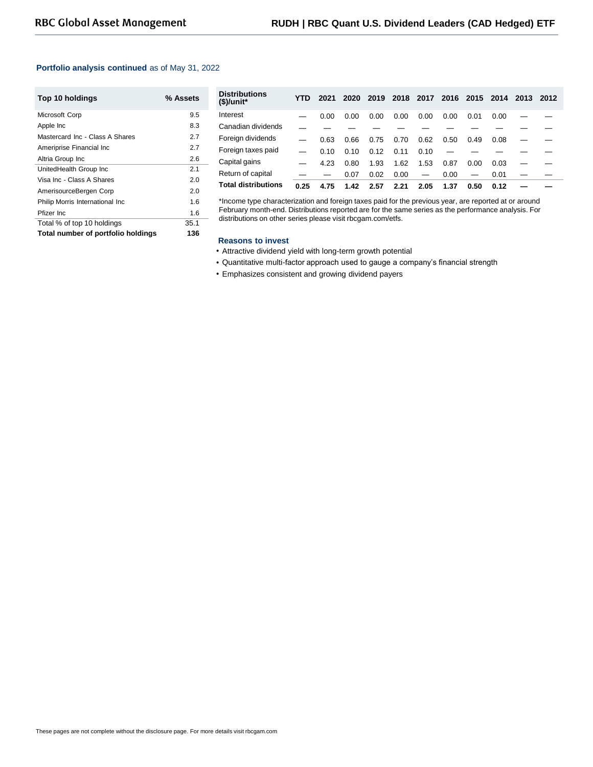#### **Portfolio analysis continued** as of May 31, 2022

| Top 10 holdings                    | % Assets |
|------------------------------------|----------|
| Microsoft Corp                     | 9.5      |
| Apple Inc                          | 8.3      |
| Mastercard Inc - Class A Shares    | 2.7      |
| Ameriprise Financial Inc           | 2.7      |
| Altria Group Inc                   | 2.6      |
| UnitedHealth Group Inc             | 2.1      |
| Visa Inc - Class A Shares          | 2.0      |
| AmerisourceBergen Corp             | 2.0      |
| Philip Morris International Inc    | 1.6      |
| Pfizer Inc.                        | 1.6      |
| Total % of top 10 holdings         | 35.1     |
| Total number of portfolio holdings | 136      |

| <b>Distributions</b><br>$$$ /unit* | YTD  | 2021 | 2020 | 2019 | 2018 | 2017                     |      | 2016 2015                | 2014 | 2013 | 2012 |
|------------------------------------|------|------|------|------|------|--------------------------|------|--------------------------|------|------|------|
| Interest                           |      | 0.00 | 0.00 | 0.00 | 0.00 | 0.00                     | 0.00 | 0.01                     | 0.00 |      |      |
| Canadian dividends                 |      |      |      |      |      |                          |      |                          |      |      |      |
| Foreign dividends                  |      | 0.63 | 0.66 | 0.75 | 0.70 | 0.62                     | 0.50 | 0.49                     | 0.08 |      |      |
| Foreign taxes paid                 |      | 0.10 | 0.10 | 0.12 | 0.11 | 0.10                     |      |                          |      |      |      |
| Capital gains                      |      | 4.23 | 0.80 | 1.93 | 1.62 | 1.53                     | 0.87 | 0.00                     | 0.03 |      |      |
| Return of capital                  |      |      | 0.07 | 0.02 | 0.00 | $\overline{\phantom{0}}$ | 0.00 | $\overline{\phantom{m}}$ | 0.01 |      |      |
| <b>Total distributions</b>         | 0.25 | 4.75 | 1.42 | 2.57 | 2.21 | 2.05                     | 1.37 | 0.50                     | 0.12 |      |      |

\*Income type characterization and foreign taxes paid for the previous year, are reported at or around February month-end. Distributions reported are for the same series as the performance analysis. For distributions on other series please visit rbcgam.com/etfs.

#### **Reasons to invest**

- Attractive dividend yield with long-term growth potential
- Quantitative multi-factor approach used to gauge a company's financial strength
- Emphasizes consistent and growing dividend payers